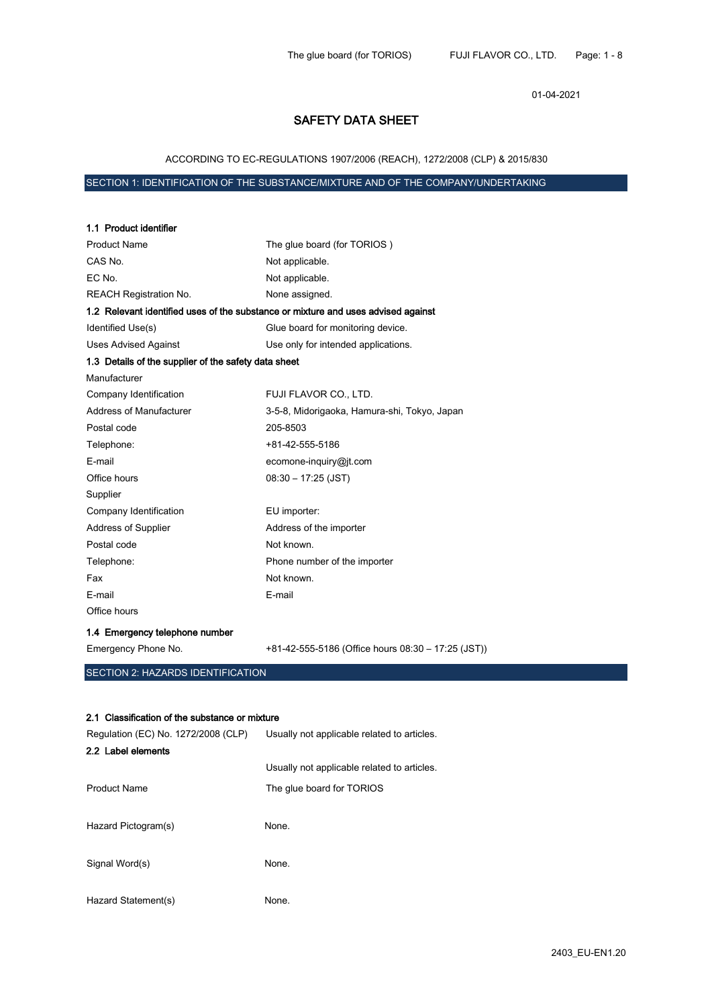01-04-2021

# SAFETY DATA SHEET

ACCORDING TO EC-REGULATIONS 1907/2006 (REACH), 1272/2008 (CLP) & 2015/830

# SECTION 1: IDENTIFICATION OF THE SUBSTANCE/MIXTURE AND OF THE COMPANY/UNDERTAKING

1.1 Product identifier

| <b>Product Name</b>                                  | The glue board (for TORIOS)                                                       |
|------------------------------------------------------|-----------------------------------------------------------------------------------|
| CAS No.                                              | Not applicable.                                                                   |
| EC No.                                               | Not applicable.                                                                   |
| <b>REACH Registration No.</b>                        | None assigned.                                                                    |
|                                                      | 1.2 Relevant identified uses of the substance or mixture and uses advised against |
| Identified Use(s)                                    | Glue board for monitoring device.                                                 |
| <b>Uses Advised Against</b>                          | Use only for intended applications.                                               |
| 1.3 Details of the supplier of the safety data sheet |                                                                                   |
| Manufacturer                                         |                                                                                   |
| Company Identification                               | FUJI FLAVOR CO., LTD.                                                             |
| Address of Manufacturer                              | 3-5-8, Midorigaoka, Hamura-shi, Tokyo, Japan                                      |
| Postal code                                          | 205-8503                                                                          |
| Telephone:                                           | +81-42-555-5186                                                                   |
| E-mail                                               | ecomone-inquiry@jt.com                                                            |
| Office hours                                         | $08:30 - 17:25$ (JST)                                                             |
| Supplier                                             |                                                                                   |
| Company Identification                               | EU importer:                                                                      |
| <b>Address of Supplier</b>                           | Address of the importer                                                           |
| Postal code                                          | Not known.                                                                        |
| Telephone:                                           | Phone number of the importer                                                      |
| Fax                                                  | Not known.                                                                        |
| E-mail                                               | E-mail                                                                            |
| Office hours                                         |                                                                                   |
| 1.4 Emergency telephone number                       |                                                                                   |
| Emergency Phone No.                                  | +81-42-555-5186 (Office hours 08:30 - 17:25 (JST))                                |
| SECTION 2: HAZARDS IDENTIFICATION                    |                                                                                   |
|                                                      |                                                                                   |
|                                                      |                                                                                   |
| 2.1 Classification of the substance or mixture       |                                                                                   |
| Regulation (EC) No. 1272/2008 (CLP)                  | Usually not applicable related to articles.                                       |
| 2.2 Label elements                                   |                                                                                   |
|                                                      | Usually not applicable related to articles.                                       |
| <b>Product Name</b>                                  | The glue board for TORIOS                                                         |
|                                                      |                                                                                   |
| Hazard Pictogram(s)                                  | None.                                                                             |
|                                                      |                                                                                   |
| Signal Word(s)                                       | None.                                                                             |
|                                                      |                                                                                   |
| Hazard Statement(s)                                  | None.                                                                             |
|                                                      |                                                                                   |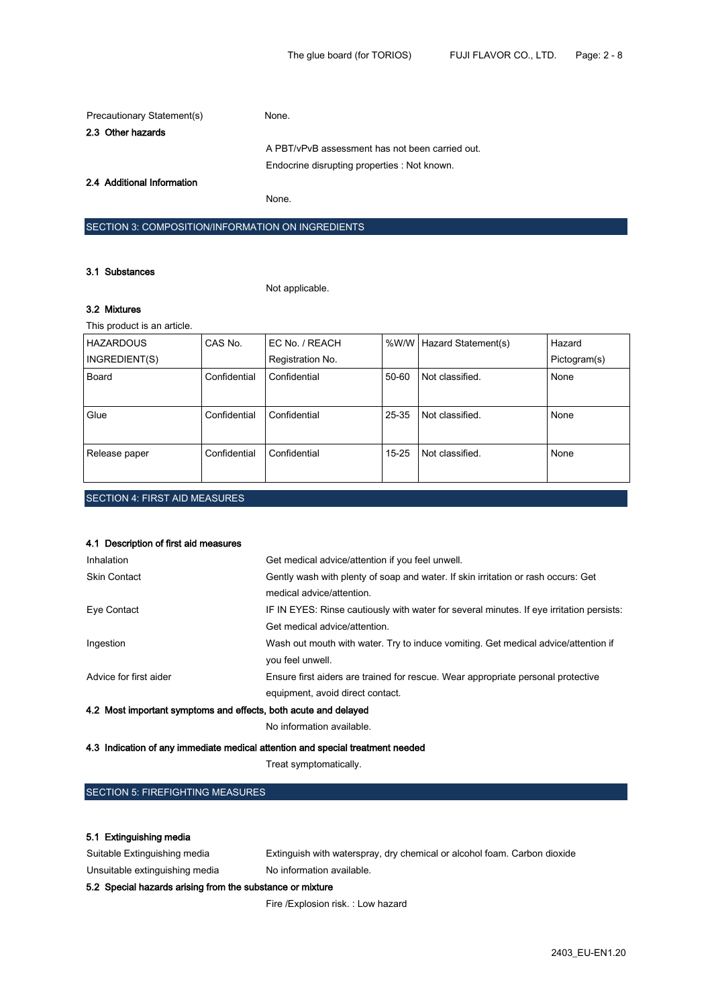| Precautionary Statement(s) | None.                                           |
|----------------------------|-------------------------------------------------|
| 2.3 Other hazards          |                                                 |
|                            | A PBT/vPvB assessment has not been carried out. |
|                            | Endocrine disrupting properties : Not known.    |
| 2.4 Additional Information |                                                 |

None.

# SECTION 3: COMPOSITION/INFORMATION ON INGREDIENTS

### 3.1 Substances

Not applicable.

## 3.2 Mixtures

This product is an article.

| <b>HAZARDOUS</b>                     | CAS No.      | EC No. / REACH   |           | %W/W   Hazard Statement(s) | Hazard       |
|--------------------------------------|--------------|------------------|-----------|----------------------------|--------------|
| INGREDIENT(S)                        |              | Registration No. |           |                            | Pictogram(s) |
| Board                                | Confidential | Confidential     | $50 - 60$ | Not classified.            | None         |
| Glue                                 | Confidential | Confidential     | 25-35     | Not classified.            | None         |
| Release paper                        | Confidential | Confidential     | $15 - 25$ | Not classified.            | None         |
| <b>SECTION 4: FIRST AID MEASURES</b> |              |                  |           |                            |              |

## 4.1 Description of first aid measures

| Inhalation                                                                     | Get medical advice/attention if you feel unwell.                                         |
|--------------------------------------------------------------------------------|------------------------------------------------------------------------------------------|
| <b>Skin Contact</b>                                                            | Gently wash with plenty of soap and water. If skin irritation or rash occurs: Get        |
|                                                                                | medical advice/attention.                                                                |
| Eye Contact                                                                    | IF IN EYES: Rinse cautiously with water for several minutes. If eye irritation persists: |
|                                                                                | Get medical advice/attention.                                                            |
| Ingestion                                                                      | Wash out mouth with water. Try to induce vomiting. Get medical advice/attention if       |
|                                                                                | you feel unwell.                                                                         |
| Advice for first aider                                                         | Ensure first aiders are trained for rescue. Wear appropriate personal protective         |
|                                                                                | equipment, avoid direct contact.                                                         |
| 4.2 Most important symptoms and effects, both acute and delayed                |                                                                                          |
|                                                                                | No information available.                                                                |
| 4.3 Indication of any immediate medical attention and special treatment needed |                                                                                          |

Treat symptomatically.

## SECTION 5: FIREFIGHTING MEASURES

## 5.1 Extinguishing media

Suitable Extinguishing media **Extinguish with waterspray, dry chemical or alcohol foam.** Carbon dioxide Unsuitable extinguishing media No information available.

## 5.2 Special hazards arising from the substance or mixture

Fire /Explosion risk. : Low hazard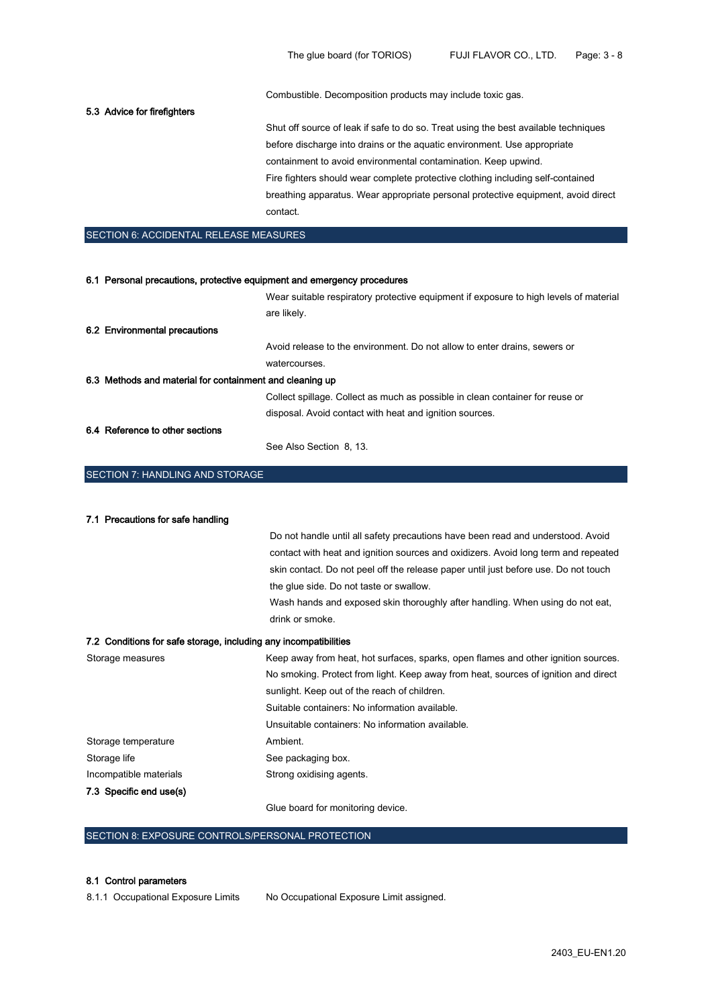Combustible. Decomposition products may include toxic gas.

## 5.3 Advice for firefighters

Shut off source of leak if safe to do so. Treat using the best available techniques before discharge into drains or the aquatic environment. Use appropriate containment to avoid environmental contamination. Keep upwind. Fire fighters should wear complete protective clothing including self-contained breathing apparatus. Wear appropriate personal protective equipment, avoid direct contact.

#### SECTION 6: ACCIDENTAL RELEASE MEASURES

| 6.1 Personal precautions, protective equipment and emergency procedures |                                                                                       |
|-------------------------------------------------------------------------|---------------------------------------------------------------------------------------|
|                                                                         | Wear suitable respiratory protective equipment if exposure to high levels of material |
|                                                                         | are likely.                                                                           |
| 6.2 Environmental precautions                                           |                                                                                       |
|                                                                         | Avoid release to the environment. Do not allow to enter drains, sewers or             |
|                                                                         | watercourses.                                                                         |
| 6.3 Methods and material for containment and cleaning up                |                                                                                       |
|                                                                         | Collect spillage. Collect as much as possible in clean container for reuse or         |
|                                                                         | disposal. Avoid contact with heat and ignition sources.                               |
| 6.4 Reference to other sections                                         |                                                                                       |
|                                                                         | See Also Section 8, 13.                                                               |

## SECTION 7: HANDLING AND STORAGE

| 7.1 Precautions for safe handling                                |                                                                                     |
|------------------------------------------------------------------|-------------------------------------------------------------------------------------|
|                                                                  | Do not handle until all safety precautions have been read and understood. Avoid     |
|                                                                  | contact with heat and ignition sources and oxidizers. Avoid long term and repeated  |
|                                                                  | skin contact. Do not peel off the release paper until just before use. Do not touch |
|                                                                  | the glue side. Do not taste or swallow.                                             |
|                                                                  | Wash hands and exposed skin thoroughly after handling. When using do not eat,       |
|                                                                  | drink or smoke.                                                                     |
| 7.2 Conditions for safe storage, including any incompatibilities |                                                                                     |
| Storage measures                                                 | Keep away from heat, hot surfaces, sparks, open flames and other ignition sources.  |
|                                                                  | No smoking. Protect from light. Keep away from heat, sources of ignition and direct |
|                                                                  | sunlight. Keep out of the reach of children.                                        |
|                                                                  | Suitable containers: No information available.                                      |
|                                                                  | Unsuitable containers: No information available.                                    |
| Storage temperature                                              | Ambient.                                                                            |
| Storage life                                                     | See packaging box.                                                                  |
| Incompatible materials                                           | Strong oxidising agents.                                                            |
| 7.3 Specific end use(s)                                          |                                                                                     |

Glue board for monitoring device.

## SECTION 8: EXPOSURE CONTROLS/PERSONAL PROTECTION

#### 8.1 Control parameters

8.1.1 Occupational Exposure Limits No Occupational Exposure Limit assigned.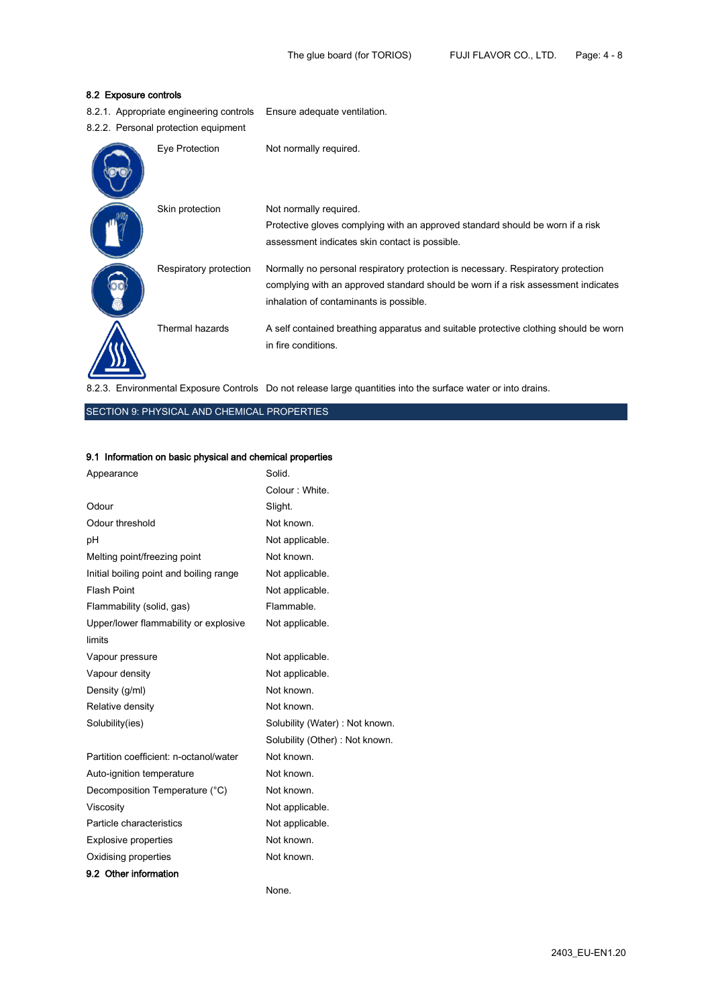# 8.2 Exposure controls

| 8.2 Exposure controls |                                         |                                                                                                                                                                                                                  |
|-----------------------|-----------------------------------------|------------------------------------------------------------------------------------------------------------------------------------------------------------------------------------------------------------------|
|                       | 8.2.1. Appropriate engineering controls | Ensure adequate ventilation.                                                                                                                                                                                     |
|                       | 8.2.2. Personal protection equipment    |                                                                                                                                                                                                                  |
|                       | Eye Protection                          | Not normally required.                                                                                                                                                                                           |
|                       | Skin protection                         | Not normally required.<br>Protective gloves complying with an approved standard should be worn if a risk<br>assessment indicates skin contact is possible.                                                       |
|                       | Respiratory protection                  | Normally no personal respiratory protection is necessary. Respiratory protection<br>complying with an approved standard should be worn if a risk assessment indicates<br>inhalation of contaminants is possible. |
|                       | Thermal hazards                         | A self contained breathing apparatus and suitable protective clothing should be worn<br>in fire conditions.                                                                                                      |

8.2.3. Environmental Exposure Controls Do not release large quantities into the surface water or into drains.

# SECTION 9: PHYSICAL AND CHEMICAL PROPERTIES

# 9.1 Information on basic physical and chemical properties

| Appearance                              | Solid.                         |
|-----------------------------------------|--------------------------------|
|                                         | Colour: White.                 |
| Odour                                   | Slight.                        |
| Odour threshold                         | Not known.                     |
| рH                                      | Not applicable.                |
| Melting point/freezing point            | Not known.                     |
| Initial boiling point and boiling range | Not applicable.                |
| <b>Flash Point</b>                      | Not applicable.                |
| Flammability (solid, gas)               | Flammable.                     |
| Upper/lower flammability or explosive   | Not applicable.                |
| limits                                  |                                |
| Vapour pressure                         | Not applicable.                |
| Vapour density                          | Not applicable.                |
| Density (g/ml)                          | Not known.                     |
| Relative density                        | Not known.                     |
| Solubility(ies)                         | Solubility (Water): Not known. |
|                                         | Solubility (Other): Not known. |
| Partition coefficient: n-octanol/water  | Not known.                     |
| Auto-ignition temperature               | Not known.                     |
| Decomposition Temperature (°C)          | Not known.                     |
| Viscosity                               | Not applicable.                |
| Particle characteristics                | Not applicable.                |
| <b>Explosive properties</b>             | Not known.                     |
| Oxidising properties                    | Not known.                     |
| 9.2 Other information                   |                                |

None.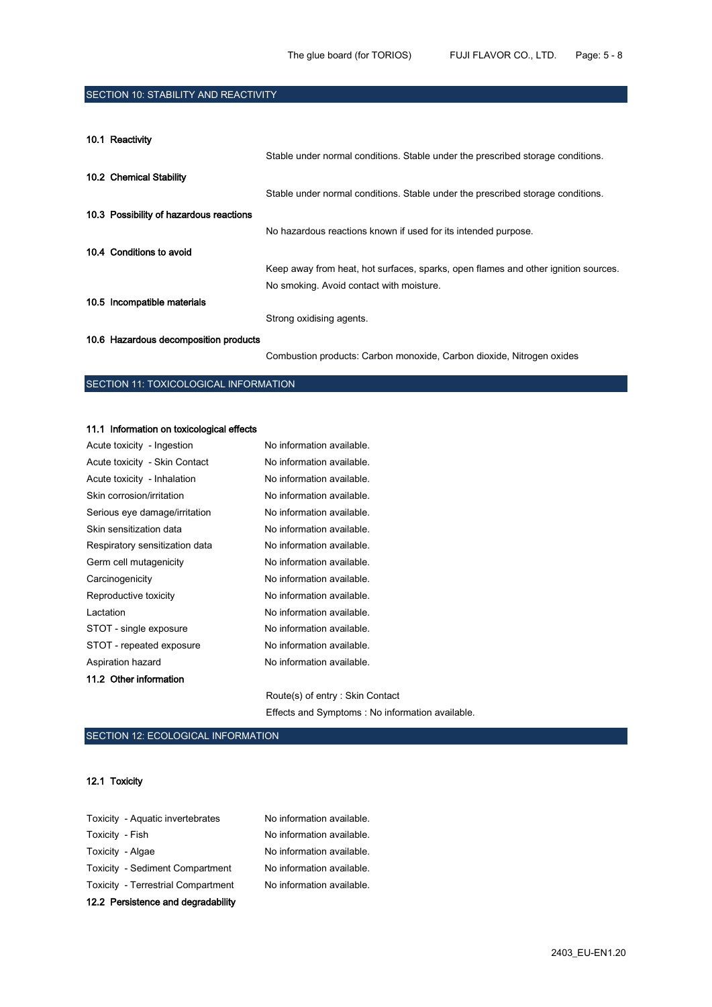# SECTION 10: STABILITY AND REACTIVITY

10.1 Reactivity

|                                         | Stable under normal conditions. Stable under the prescribed storage conditions.    |
|-----------------------------------------|------------------------------------------------------------------------------------|
| 10.2 Chemical Stability                 |                                                                                    |
|                                         | Stable under normal conditions. Stable under the prescribed storage conditions.    |
| 10.3 Possibility of hazardous reactions |                                                                                    |
|                                         | No hazardous reactions known if used for its intended purpose.                     |
| 10.4 Conditions to avoid                |                                                                                    |
|                                         | Keep away from heat, hot surfaces, sparks, open flames and other ignition sources. |
|                                         | No smoking. Avoid contact with moisture.                                           |
| 10.5 Incompatible materials             |                                                                                    |
|                                         | Strong oxidising agents.                                                           |
| 10.6 Hazardous decomposition products   |                                                                                    |

Combustion products: Carbon monoxide, Carbon dioxide, Nitrogen oxides

# SECTION 11: TOXICOLOGICAL INFORMATION

#### 11.1 Information on toxicological effects

| Acute toxicity - Ingestion     | No information available. |
|--------------------------------|---------------------------|
| Acute toxicity - Skin Contact  | No information available. |
| Acute toxicity - Inhalation    | No information available. |
| Skin corrosion/irritation      | No information available. |
| Serious eye damage/irritation  | No information available. |
| Skin sensitization data        | No information available. |
| Respiratory sensitization data | No information available. |
| Germ cell mutagenicity         | No information available. |
| Carcinogenicity                | No information available. |
| Reproductive toxicity          | No information available. |
| Lactation                      | No information available. |
| STOT - single exposure         | No information available. |
| STOT - repeated exposure       | No information available. |
| Aspiration hazard              | No information available. |
| 11.2 Other information         |                           |
|                                |                           |

Route(s) of entry : Skin Contact Effects and Symptoms : No information available.

# SECTION 12: ECOLOGICAL INFORMATION

#### 12.1 Toxicity

| 12.2 Persistence and degradability        |                           |
|-------------------------------------------|---------------------------|
| <b>Toxicity - Terrestrial Compartment</b> | No information available. |
| Toxicity - Sediment Compartment           | No information available. |
| Toxicity - Algae                          | No information available. |
| Toxicity - Fish                           | No information available. |
| Toxicity - Aquatic invertebrates          | No information available. |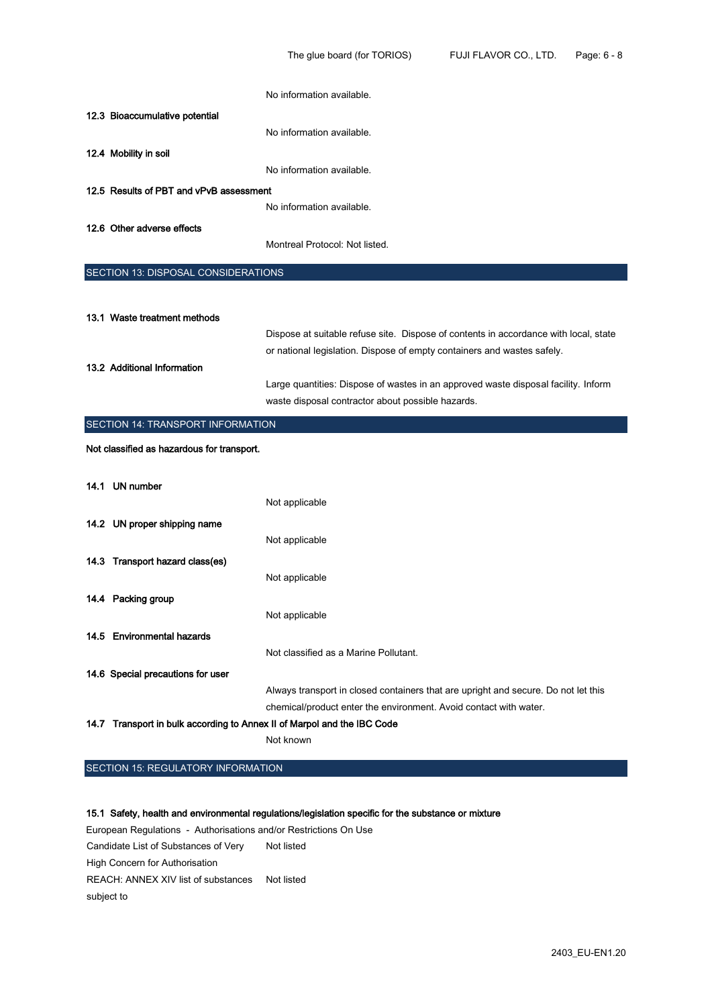|                                                                         | No information available.                                                            |
|-------------------------------------------------------------------------|--------------------------------------------------------------------------------------|
| 12.3 Bioaccumulative potential                                          |                                                                                      |
|                                                                         | No information available.                                                            |
| 12.4 Mobility in soil                                                   |                                                                                      |
|                                                                         | No information available.                                                            |
| 12.5 Results of PBT and vPvB assessment                                 |                                                                                      |
|                                                                         | No information available.                                                            |
| 12.6 Other adverse effects                                              |                                                                                      |
|                                                                         | Montreal Protocol: Not listed.                                                       |
| SECTION 13: DISPOSAL CONSIDERATIONS                                     |                                                                                      |
|                                                                         |                                                                                      |
| 13.1 Waste treatment methods                                            |                                                                                      |
|                                                                         | Dispose at suitable refuse site. Dispose of contents in accordance with local, state |
|                                                                         | or national legislation. Dispose of empty containers and wastes safely.              |
| 13.2 Additional Information                                             |                                                                                      |
|                                                                         | Large quantities: Dispose of wastes in an approved waste disposal facility. Inform   |
|                                                                         | waste disposal contractor about possible hazards.                                    |
|                                                                         |                                                                                      |
| SECTION 14: TRANSPORT INFORMATION                                       |                                                                                      |
| Not classified as hazardous for transport.                              |                                                                                      |
|                                                                         |                                                                                      |
| 14.1 UN number                                                          |                                                                                      |
|                                                                         | Not applicable                                                                       |
| 14.2 UN proper shipping name                                            |                                                                                      |
|                                                                         | Not applicable                                                                       |
| 14.3 Transport hazard class(es)                                         |                                                                                      |
|                                                                         | Not applicable                                                                       |
| 14.4 Packing group                                                      |                                                                                      |
|                                                                         | Not applicable                                                                       |
| 14.5 Environmental hazards                                              |                                                                                      |
|                                                                         | Not classified as a Marine Pollutant.                                                |
| 14.6 Special precautions for user                                       |                                                                                      |
|                                                                         | Always transport in closed containers that are upright and secure. Do not let this   |
| 14.7 Transport in bulk according to Annex II of Marpol and the IBC Code | chemical/product enter the environment. Avoid contact with water.                    |

SECTION 15: REGULATORY INFORMATION

## 15.1 Safety, health and environmental regulations/legislation specific for the substance or mixture

European Regulations - Authorisations and/or Restrictions On Use Candidate List of Substances of Very High Concern for Authorisation Not listed REACH: ANNEX XIV list of substances Not listed subject to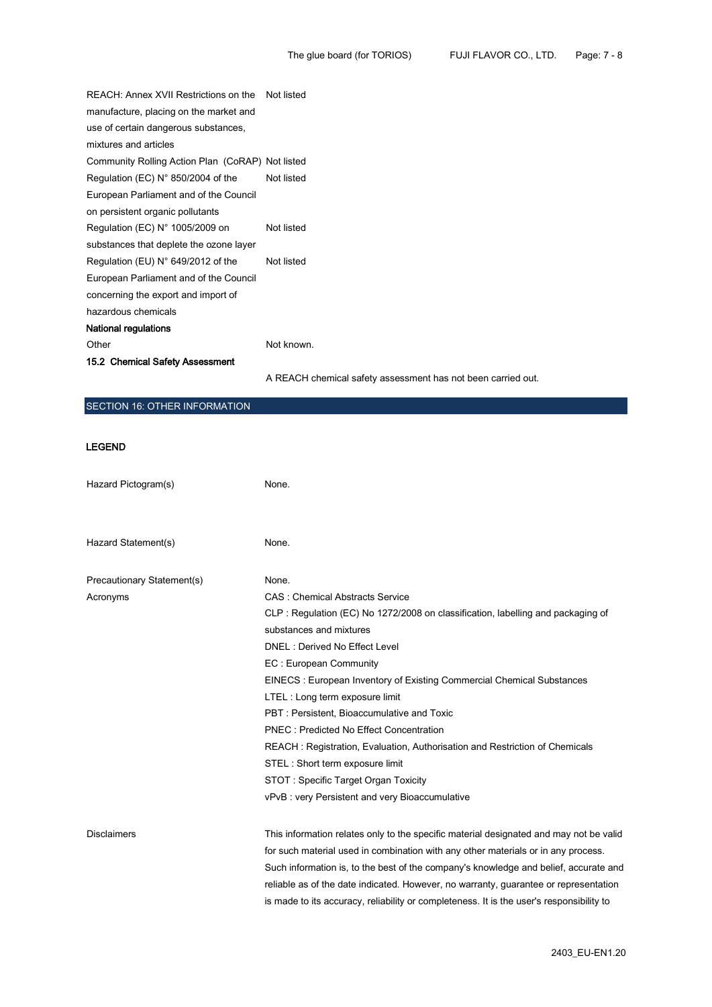| REACH: Annex XVII Restrictions on the            | Not listed                                                   |
|--------------------------------------------------|--------------------------------------------------------------|
| manufacture, placing on the market and           |                                                              |
| use of certain dangerous substances,             |                                                              |
| mixtures and articles                            |                                                              |
| Community Rolling Action Plan (CoRAP) Not listed |                                                              |
| Regulation (EC) N° 850/2004 of the               | Not listed                                                   |
| European Parliament and of the Council           |                                                              |
| on persistent organic pollutants                 |                                                              |
| Regulation (EC) $N^{\circ}$ 1005/2009 on         | Not listed                                                   |
| substances that deplete the ozone layer          |                                                              |
| Regulation (EU) $N^{\circ}$ 649/2012 of the      | Not listed                                                   |
| European Parliament and of the Council           |                                                              |
| concerning the export and import of              |                                                              |
| hazardous chemicals                              |                                                              |
| National regulations                             |                                                              |
| Other                                            | Not known.                                                   |
| 15.2 Chemical Safety Assessment                  |                                                              |
|                                                  | A REACH chemical safety assessment has not been carried out. |

# SECTION 16: OTHER INFORMATION

## LEGEND

| Hazard Pictogram(s)        | None.                                                                                    |
|----------------------------|------------------------------------------------------------------------------------------|
|                            |                                                                                          |
| Hazard Statement(s)        | None.                                                                                    |
| Precautionary Statement(s) | None.                                                                                    |
| Acronyms                   | <b>CAS: Chemical Abstracts Service</b>                                                   |
|                            | CLP: Regulation (EC) No 1272/2008 on classification, labelling and packaging of          |
|                            | substances and mixtures                                                                  |
|                            | DNEL: Derived No Effect Level                                                            |
|                            | EC: European Community                                                                   |
|                            | EINECS: European Inventory of Existing Commercial Chemical Substances                    |
|                            | LTEL: Long term exposure limit                                                           |
|                            | PBT: Persistent, Bioaccumulative and Toxic                                               |
|                            | <b>PNEC: Predicted No Effect Concentration</b>                                           |
|                            | REACH: Registration, Evaluation, Authorisation and Restriction of Chemicals              |
|                            | STEL: Short term exposure limit                                                          |
|                            | STOT: Specific Target Organ Toxicity                                                     |
|                            | vPvB: very Persistent and very Bioaccumulative                                           |
| <b>Disclaimers</b>         | This information relates only to the specific material designated and may not be valid   |
|                            | for such material used in combination with any other materials or in any process.        |
|                            | Such information is, to the best of the company's knowledge and belief, accurate and     |
|                            | reliable as of the date indicated. However, no warranty, guarantee or representation     |
|                            | is made to its accuracy, reliability or completeness. It is the user's responsibility to |